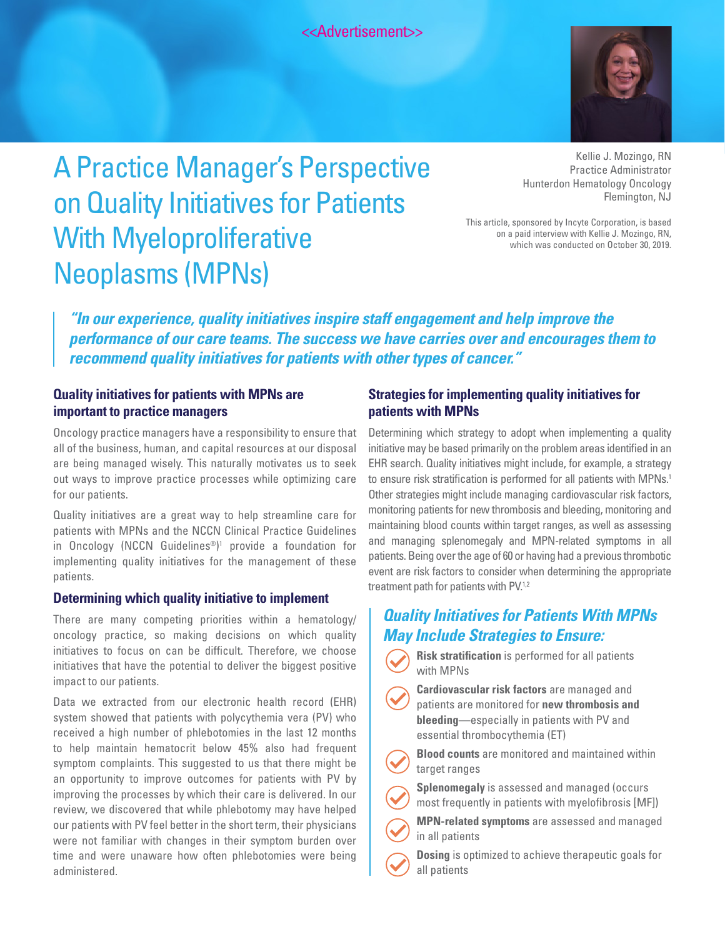<<Advertisement>>



# A Practice Manager's Perspective on Quality Initiatives for Patients With Myeloproliferative Neoplasms (MPNs)

Kellie J. Mozingo, RN Practice Administrator Hunterdon Hematology Oncology Flemington, NJ

This article, sponsored by Incyte Corporation, is based on a paid interview with Kellie J. Mozingo, RN, which was conducted on October 30, 2019.

*"In our experience, quality initiatives inspire staff engagement and help improve the performance of our care teams. The success we have carries over and encourages them to recommend quality initiatives for patients with other types of cancer."*

### **Quality initiatives for patients with MPNs are important to practice managers**

Oncology practice managers have a responsibility to ensure that all of the business, human, and capital resources at our disposal are being managed wisely. This naturally motivates us to seek out ways to improve practice processes while optimizing care for our patients.

Quality initiatives are a great way to help streamline care for patients with MPNs and the NCCN Clinical Practice Guidelines in Oncology (NCCN Guidelines®)<sup>1</sup> provide a foundation for implementing quality initiatives for the management of these patients.

#### **Determining which quality initiative to implement**

There are many competing priorities within a hematology/ oncology practice, so making decisions on which quality initiatives to focus on can be difficult. Therefore, we choose initiatives that have the potential to deliver the biggest positive impact to our patients.

Data we extracted from our electronic health record (EHR) system showed that patients with polycythemia vera (PV) who received a high number of phlebotomies in the last 12 months to help maintain hematocrit below 45% also had frequent symptom complaints. This suggested to us that there might be an opportunity to improve outcomes for patients with PV by improving the processes by which their care is delivered. In our review, we discovered that while phlebotomy may have helped our patients with PV feel better in the short term, their physicians were not familiar with changes in their symptom burden over time and were unaware how often phlebotomies were being administered.

## **Strategies for implementing quality initiatives for patients with MPNs**

Determining which strategy to adopt when implementing a quality initiative may be based primarily on the problem areas identified in an EHR search. Quality initiatives might include, for example, a strategy to ensure risk stratification is performed for all patients with MPNs.<sup>1</sup> Other strategies might include managing cardiovascular risk factors, monitoring patients for new thrombosis and bleeding, monitoring and maintaining blood counts within target ranges, as well as assessing and managing splenomegaly and MPN-related symptoms in all patients. Being over the age of 60 or having had a previous thrombotic event are risk factors to consider when determining the appropriate treatment path for patients with PV.<sup>1,2</sup>

# *Quality Initiatives for Patients With MPNs May Include Strategies to Ensure:*

**Risk stratification** is performed for all patients with MPNs

**Cardiovascular risk factors** are managed and patients are monitored for **new thrombosis and bleeding**—especially in patients with PV and essential thrombocythemia (ET)

**Blood counts** are monitored and maintained within target ranges

**Splenomegaly** is assessed and managed (occurs

most frequently in patients with myelofibrosis [MF])

**MPN-related symptoms** are assessed and managed in all patients

**Dosing** is optimized to achieve therapeutic goals for all patients